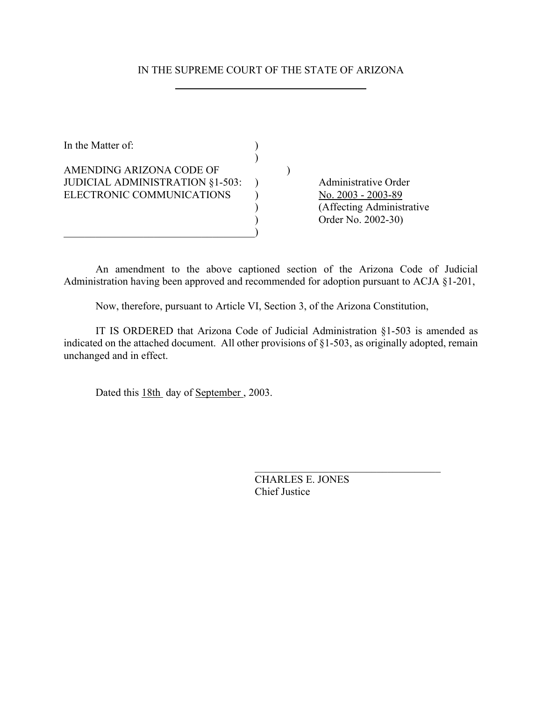# IN THE SUPREME COURT OF THE STATE OF ARIZONA

| In the Matter of:                                                                        |  |                                                                                               |
|------------------------------------------------------------------------------------------|--|-----------------------------------------------------------------------------------------------|
| AMENDING ARIZONA CODE OF<br>JUDICIAL ADMINISTRATION §1-503:<br>ELECTRONIC COMMUNICATIONS |  | Administrative Order<br>No. 2003 - 2003-89<br>(Affecting Administrative<br>Order No. 2002-30) |

An amendment to the above captioned section of the Arizona Code of Judicial Administration having been approved and recommended for adoption pursuant to ACJA §1-201,

Now, therefore, pursuant to Article VI, Section 3, of the Arizona Constitution,

IT IS ORDERED that Arizona Code of Judicial Administration §1-503 is amended as indicated on the attached document. All other provisions of §1-503, as originally adopted, remain unchanged and in effect.

Dated this 18th day of September, 2003.

CHARLES E. JONES Chief Justice

 $\mathcal{L}_\text{max}$  , where  $\mathcal{L}_\text{max}$  and  $\mathcal{L}_\text{max}$  and  $\mathcal{L}_\text{max}$